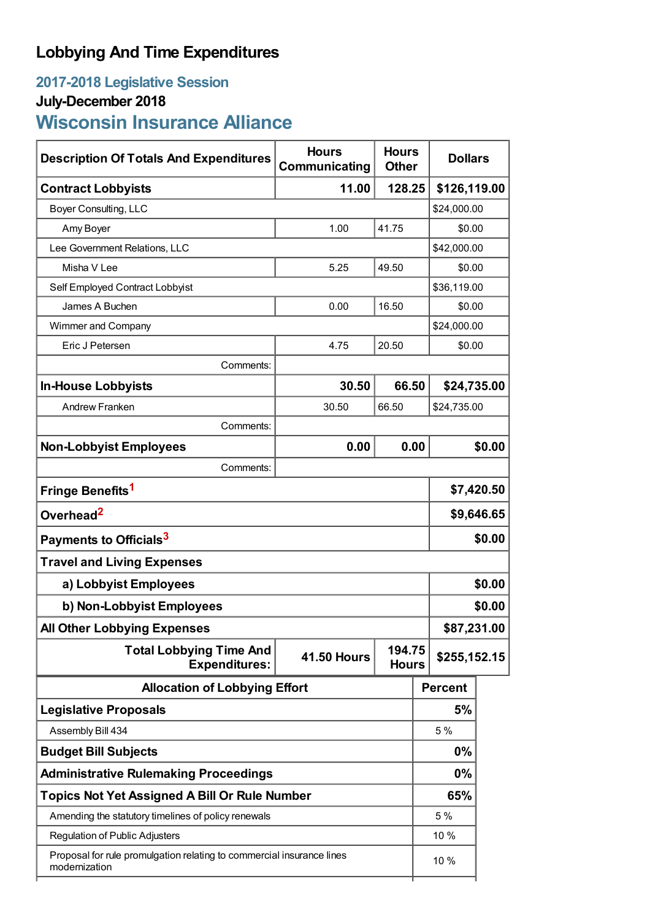## **Lobbying And Time Expenditures**

### **2017-2018 Legislative Session**

## **July-December 2018**

# **Wisconsin Insurance Alliance**

| <b>Description Of Totals And Expenditures</b>                                          | <b>Hours</b><br>Communicating | <b>Hours</b><br><b>Other</b> | <b>Dollars</b> |              |  |
|----------------------------------------------------------------------------------------|-------------------------------|------------------------------|----------------|--------------|--|
| <b>Contract Lobbyists</b>                                                              | 128.25<br>11.00               |                              |                | \$126,119.00 |  |
| Boyer Consulting, LLC                                                                  |                               |                              | \$24,000.00    |              |  |
| Amy Boyer                                                                              | 1.00                          | 41.75                        |                | \$0.00       |  |
| Lee Government Relations, LLC                                                          |                               |                              |                | \$42,000.00  |  |
| Misha V Lee                                                                            | 5.25<br>49.50                 |                              |                | \$0.00       |  |
| Self Employed Contract Lobbyist                                                        |                               |                              |                | \$36,119.00  |  |
| James A Buchen                                                                         | 16.50<br>0.00                 |                              |                | \$0.00       |  |
| Wimmer and Company                                                                     |                               |                              |                | \$24,000.00  |  |
| Eric J Petersen                                                                        | 4.75<br>20.50                 |                              |                | \$0.00       |  |
| Comments:                                                                              |                               |                              |                |              |  |
| <b>In-House Lobbyists</b>                                                              | 30.50                         | 66.50                        | \$24,735.00    |              |  |
| Andrew Franken                                                                         | 30.50                         | 66.50                        |                | \$24,735.00  |  |
| Comments:                                                                              |                               |                              |                |              |  |
| <b>Non-Lobbyist Employees</b>                                                          | 0.00                          | 0.00                         |                | \$0.00       |  |
| Comments:                                                                              |                               |                              |                |              |  |
| Fringe Benefits <sup>1</sup>                                                           |                               |                              | \$7,420.50     |              |  |
| Overhead <sup>2</sup>                                                                  |                               |                              |                | \$9,646.65   |  |
| Payments to Officials <sup>3</sup>                                                     |                               |                              |                | \$0.00       |  |
| <b>Travel and Living Expenses</b>                                                      |                               |                              |                |              |  |
| a) Lobbyist Employees                                                                  |                               |                              |                | \$0.00       |  |
| b) Non-Lobbyist Employees                                                              |                               |                              |                | \$0.00       |  |
| <b>All Other Lobbying Expenses</b>                                                     |                               |                              | \$87,231.00    |              |  |
| <b>Total Lobbying Time And</b><br><b>Expenditures:</b>                                 | <b>41.50 Hours</b>            | 194.75<br><b>Hours</b>       | \$255,152.15   |              |  |
| <b>Allocation of Lobbying Effort</b>                                                   |                               | <b>Percent</b>               |                |              |  |
| <b>Legislative Proposals</b>                                                           |                               |                              | 5%             |              |  |
| Assembly Bill 434                                                                      |                               |                              | 5 %            |              |  |
| <b>Budget Bill Subjects</b>                                                            |                               |                              | 0%             |              |  |
| <b>Administrative Rulemaking Proceedings</b>                                           |                               |                              | 0%             |              |  |
| <b>Topics Not Yet Assigned A Bill Or Rule Number</b>                                   |                               |                              | 65%            |              |  |
| Amending the statutory timelines of policy renewals                                    |                               |                              | 5 %            |              |  |
| Regulation of Public Adjusters                                                         |                               |                              | 10 %           |              |  |
| Proposal for rule promulgation relating to commercial insurance lines<br>modernization |                               |                              | 10 %           |              |  |